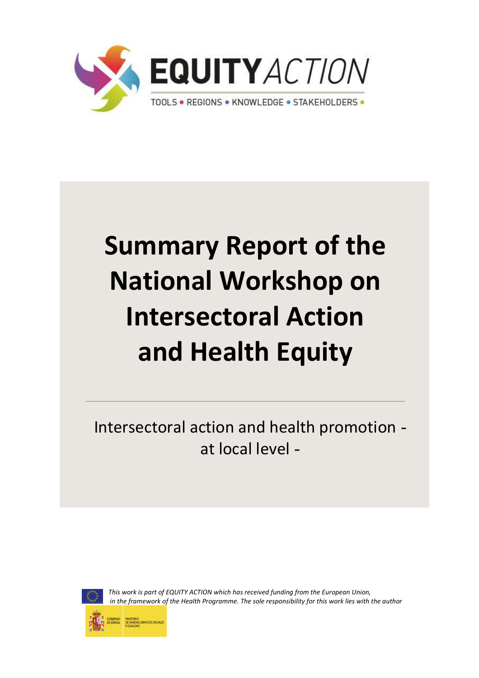

# **Summary Report of the National Workshop on Intersectoral Action and Health Equity**

Intersectoral action and health promotion at local level



*This work is part of EQUITY ACTION which has received funding from the European Union, in the framework of the Health Programme. The sole responsibility for this work lies with the author* 

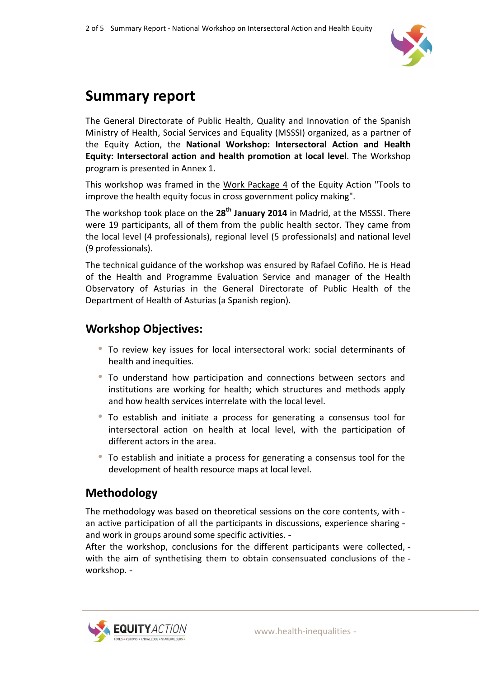

## **Summary report**

The General Directorate of Public Health, Quality and Innovation of the Spanish Ministry of Health, Social Services and Equality (MSSSI) organized, as a partner of the Equity Action, the **National Workshop: Intersectoral Action and Health Equity: Intersectoral action and health promotion at local level**. The Workshop program is presented in Annex 1.

This workshop was framed in the Work Package 4 of the Equity Action "Tools to improve the health equity focus in cross government policy making".

The workshop took place on the **28th January 2014** in Madrid, at the MSSSI. There were 19 participants, all of them from the public health sector. They came from the local level (4 professionals), regional level (5 professionals) and national level (9 professionals).

The technical guidance of the workshop was ensured by Rafael Cofiño. He is Head of the Health and Programme Evaluation Service and manager of the Health Observatory of Asturias in the General Directorate of Public Health of the Department of Health of Asturias (a Spanish region).

#### **Workshop Objectives:**

- To review key issues for local intersectoral work: social determinants of health and inequities.
- • To understand how participation and connections between sectors and institutions are working for health; which structures and methods apply and how health services interrelate with the local level.
- To establish and initiate a process for generating a consensus tool for intersectoral action on health at local level, with the participation of different actors in the area.
- To establish and initiate a process for generating a consensus tool for the development of health resource maps at local level.

### **Methodology**

The methodology was based on theoretical sessions on the core contents, with an active participation of all the participants in discussions, experience sharing and work in groups around some specific activities.

After the workshop, conclusions for the different participants were collected, with the aim of synthetising them to obtain consensuated conclusions of the workshop.

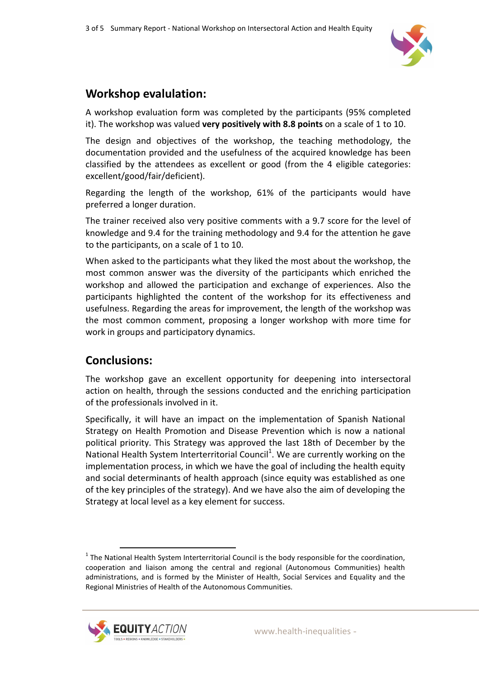

#### **Workshop evalulation:**

A workshop evaluation form was completed by the participants (95% completed it). The workshop was valued **very positively with 8.8 points** on a scale of 1 to 10.

The design and objectives of the workshop, the teaching methodology, the documentation provided and the usefulness of the acquired knowledge has been classified by the attendees as excellent or good (from the 4 eligible categories: excellent/good/fair/deficient).

Regarding the length of the workshop, 61% of the participants would have preferred a longer duration.

The trainer received also very positive comments with a 9.7 score for the level of knowledge and 9.4 for the training methodology and 9.4 for the attention he gave to the participants, on a scale of 1 to 10.

When asked to the participants what they liked the most about the workshop, the most common answer was the diversity of the participants which enriched the workshop and allowed the participation and exchange of experiences. Also the participants highlighted the content of the workshop for its effectiveness and usefulness. Regarding the areas for improvement, the length of the workshop was the most common comment, proposing a longer workshop with more time for work in groups and participatory dynamics.

#### **Conclusions:**

The workshop gave an excellent opportunity for deepening into intersectoral action on health, through the sessions conducted and the enriching participation of the professionals involved in it.

Specifically, it will have an impact on the implementation of Spanish National Strategy on Health Promotion and Disease Prevention which is now a national political priority. This Strategy was approved the last 18th of December by the National Health System Interterritorial Council<sup>1</sup>. We are currently working on the implementation process, in which we have the goal of including the health equity and social determinants of health approach (since equity was established as one of the key principles of the strategy). And we have also the aim of developing the Strategy at local level as a key element for success.

 $<sup>1</sup>$  The National Health System Interterritorial Council is the body responsible for the coordination,</sup> cooperation and liaison among the central and regional (Autonomous Communities) health administrations, and is formed by the Minister of Health, Social Services and Equality and the Regional Ministries of Health of the Autonomous Communities.

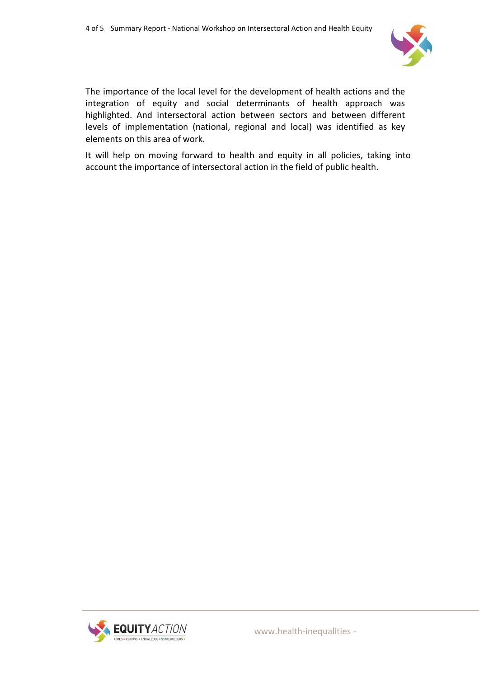

The importance of the local level for the development of health actions and the integration of equity and social determinants of health approach was highlighted. And intersectoral action between sectors and between different levels of implementation (national, regional and local) was identified as key elements on this area of work.

It will help on moving forward to health and equity in all policies, taking into account the importance of intersectoral action in the field of public health.